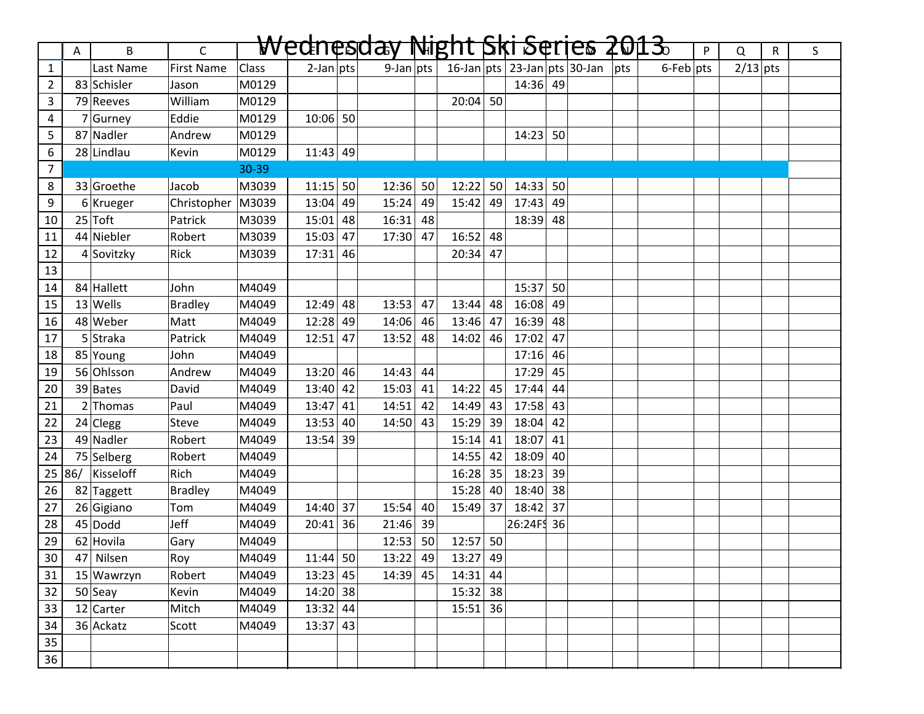|                 | A | B                | $\mathsf{C}$      |              |              |    | Wednesday Night Ski Series 2013. |    |            |    |            |    |                                  |                 | P | Q          | $\mathsf{R}$ | S |
|-----------------|---|------------------|-------------------|--------------|--------------|----|----------------------------------|----|------------|----|------------|----|----------------------------------|-----------------|---|------------|--------------|---|
| $\mathbf{1}$    |   | Last Name        | <b>First Name</b> | <b>Class</b> | $2$ -Jan pts |    | $9$ -Jan pts                     |    |            |    |            |    | 16-Jan pts 23-Jan pts 30-Jan pts | $6$ -Feb $ pts$ |   | $2/13$ pts |              |   |
| $\overline{2}$  |   | 83 Schisler      | Jason             | M0129        |              |    |                                  |    |            |    | $14:36$ 49 |    |                                  |                 |   |            |              |   |
| 3               |   | 79 Reeves        | William           | M0129        |              |    |                                  |    | $20:04$ 50 |    |            |    |                                  |                 |   |            |              |   |
| 4               |   | 7 Gurney         | Eddie             | M0129        | $10:06$ 50   |    |                                  |    |            |    |            |    |                                  |                 |   |            |              |   |
| 5               |   | 87 Nadler        | Andrew            | M0129        |              |    |                                  |    |            |    | 14:23      | 50 |                                  |                 |   |            |              |   |
| 6               |   | 28 Lindlau       | Kevin             | M0129        | $11:43$ 49   |    |                                  |    |            |    |            |    |                                  |                 |   |            |              |   |
| $\overline{7}$  |   |                  |                   | 30-39        |              |    |                                  |    |            |    |            |    |                                  |                 |   |            |              |   |
| 8               |   | 33 Groethe       | Jacob             | M3039        | $11:15$ 50   |    | 12:36                            | 50 | 12:22      | 50 | $14:33$ 50 |    |                                  |                 |   |            |              |   |
| 9               |   | $6$ Krueger      | Christopher       | M3039        | $13:04$ 49   |    | 15:24                            | 49 | 15:42 49   |    | $17:43$ 49 |    |                                  |                 |   |            |              |   |
| 10              |   | $25$ Toft        | Patrick           | M3039        | $15:01$ 48   |    | 16:31                            | 48 |            |    | 18:39      | 48 |                                  |                 |   |            |              |   |
| 11              |   | 44 Niebler       | Robert            | M3039        | $15:03$ 47   |    | 17:30                            | 47 | 16:52      | 48 |            |    |                                  |                 |   |            |              |   |
| 12              |   | 4 Sovitzky       | Rick              | M3039        | 17:31        | 46 |                                  |    | 20:34      | 47 |            |    |                                  |                 |   |            |              |   |
| 13              |   |                  |                   |              |              |    |                                  |    |            |    |            |    |                                  |                 |   |            |              |   |
| 14              |   | 84 Hallett       | John              | M4049        |              |    |                                  |    |            |    | $15:37$ 50 |    |                                  |                 |   |            |              |   |
| 15              |   | $13$ Wells       | <b>Bradley</b>    | M4049        | $12:49$ 48   |    | 13:53                            | 47 | 13:44      | 48 | $16:08$ 49 |    |                                  |                 |   |            |              |   |
| 16              |   | 48 Weber         | Matt              | M4049        | $12:28$ 49   |    | 14:06                            | 46 | 13:46      | 47 | $16:39$ 48 |    |                                  |                 |   |            |              |   |
| 17              |   | 5 Straka         | Patrick           | M4049        | 12:51        | 47 | 13:52                            | 48 | 14:02      | 46 | $17:02$ 47 |    |                                  |                 |   |            |              |   |
| 18              |   | 85 Young         | John              | M4049        |              |    |                                  |    |            |    | $17:16$ 46 |    |                                  |                 |   |            |              |   |
| 19              |   | 56 Ohlsson       | Andrew            | M4049        | $13:20$ 46   |    | 14:43                            | 44 |            |    | 17:29 45   |    |                                  |                 |   |            |              |   |
| 20              |   | 39 Bates         | David             | M4049        | $13:40$ 42   |    | 15:03                            | 41 | 14:22      | 45 | $17:44$ 44 |    |                                  |                 |   |            |              |   |
| 21              |   | $2$ Thomas       | Paul              | M4049        | $13:47$ 41   |    | 14:51                            | 42 | 14:49      | 43 | $17:58$ 43 |    |                                  |                 |   |            |              |   |
| 22              |   | $24$ Clegg       | Steve             | M4049        | $13:53$ 40   |    | 14:50                            | 43 | 15:29      | 39 | $18:04$ 42 |    |                                  |                 |   |            |              |   |
| 23              |   | 49 Nadler        | Robert            | M4049        | $13:54$ 39   |    |                                  |    | 15:14      | 41 | $18:07$ 41 |    |                                  |                 |   |            |              |   |
| 24              |   | 75 Selberg       | Robert            | M4049        |              |    |                                  |    | 14:55      | 42 | $18:09$ 40 |    |                                  |                 |   |            |              |   |
|                 |   | 25 86/ Kisseloff | Rich              | M4049        |              |    |                                  |    | $16:28$ 35 |    | $18:23$ 39 |    |                                  |                 |   |            |              |   |
| 26              |   | 82 Taggett       | Bradley           | M4049        |              |    |                                  |    | $15:28$ 40 |    | $18:40$ 38 |    |                                  |                 |   |            |              |   |
| 27              |   | 26 Gigiano       | Tom               | M4049        | $14:40$ 37   |    | 15:54                            | 40 | 15:49      | 37 | $18:42$ 37 |    |                                  |                 |   |            |              |   |
| 28              |   | $45$ Dodd        | Jeff              | M4049        | $20:41$ 36   |    | 21:46                            | 39 |            |    | 26:24F 36  |    |                                  |                 |   |            |              |   |
| 29              |   | 62 Hovila        | Gary              | M4049        |              |    | 12:53                            | 50 | $12:57$ 50 |    |            |    |                                  |                 |   |            |              |   |
| $\overline{30}$ |   | 47 Nilsen        | Roy               | M4049        | $11:44$ 50   |    | $13:22$ 49                       |    | $13:27$ 49 |    |            |    |                                  |                 |   |            |              |   |
| 31              |   | 15 Wawrzyn       | Robert            | M4049        | $13:23$ 45   |    | 14:39                            | 45 | $14:31$ 44 |    |            |    |                                  |                 |   |            |              |   |
| 32              |   | $50$ Seay        | Kevin             | M4049        | $14:20$ 38   |    |                                  |    | 15:32 38   |    |            |    |                                  |                 |   |            |              |   |
| 33              |   | $12$ Carter      | Mitch             | M4049        | $13:32$ 44   |    |                                  |    | $15:51$ 36 |    |            |    |                                  |                 |   |            |              |   |
| 34              |   | 36 Ackatz        | Scott             | M4049        | $13:37$ 43   |    |                                  |    |            |    |            |    |                                  |                 |   |            |              |   |
| 35              |   |                  |                   |              |              |    |                                  |    |            |    |            |    |                                  |                 |   |            |              |   |
| $\overline{36}$ |   |                  |                   |              |              |    |                                  |    |            |    |            |    |                                  |                 |   |            |              |   |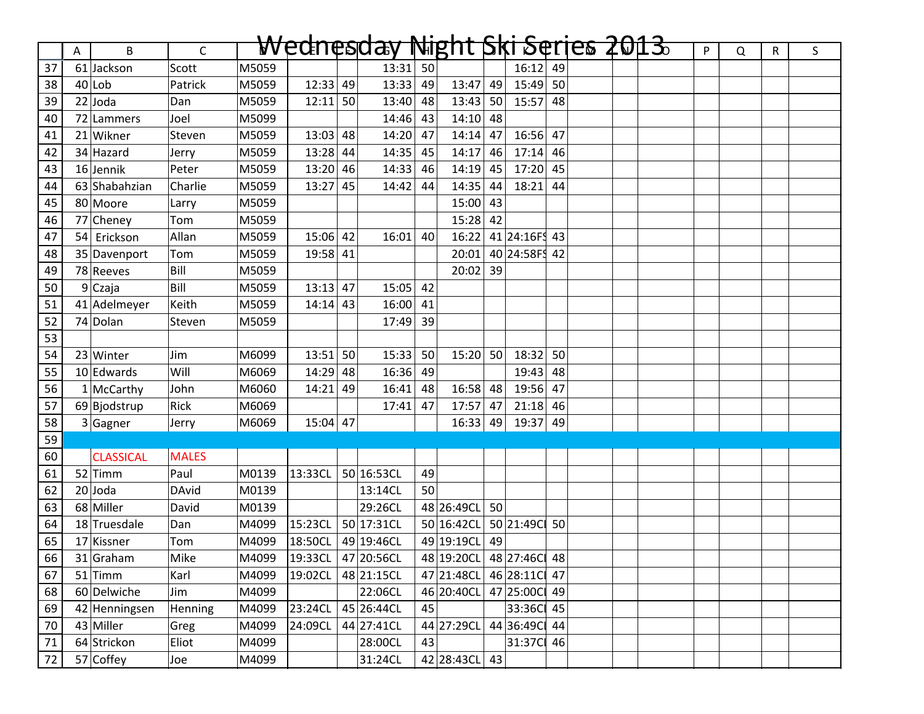|    | Α | B                | $\mathsf{C}$ |       |                      | Wednesday Night Ski Serjes 2013 |                 |                          |    |               |    |  | $\mathsf{P}$ | Q | $\mathsf{R}$ | S. |
|----|---|------------------|--------------|-------|----------------------|---------------------------------|-----------------|--------------------------|----|---------------|----|--|--------------|---|--------------|----|
| 37 |   | 61 Jackson       | Scott        | M5059 |                      | $13:31$ 50                      |                 |                          |    | $16:12$ 49    |    |  |              |   |              |    |
| 38 |   | $40$  Lob        | Patrick      | M5059 | 12:33   49           | 13:33                           | 49              | 13:47                    | 49 | $15:49$ 50    |    |  |              |   |              |    |
| 39 |   | $22$ Joda        | Dan          | M5059 | $12:11$ 50           | 13:40                           | 48              | $13:43$ 50               |    | $15:57$ 48    |    |  |              |   |              |    |
| 40 |   | 72 Lammers       | Joel         | M5099 |                      | 14:46                           | 43              | $14:10$ 48               |    |               |    |  |              |   |              |    |
| 41 |   | 21 Wikner        | Steven       | M5059 | $13:03$ 48           | 14:20                           | 47              | $14:14$ 47               |    | $16:56$ 47    |    |  |              |   |              |    |
| 42 |   | 34 Hazard        | Jerry        | M5059 | $13:28$ 44           | 14:35 45                        |                 | $14:17$ 46               |    | $17:14$ 46    |    |  |              |   |              |    |
| 43 |   | $16$ Jennik      | Peter        | M5059 | $13:20$ 46           | 14:33                           | 46              | $14:19$ 45               |    | $17:20$ 45    |    |  |              |   |              |    |
| 44 |   | 63 Shabahzian    | Charlie      | M5059 | $13:27$ 45           | 14:42                           | 44              | $14:35$ 44               |    | $18:21$ 44    |    |  |              |   |              |    |
| 45 |   | 80 Moore         | Larry        | M5059 |                      |                                 |                 | $15:00$ 43               |    |               |    |  |              |   |              |    |
| 46 |   | 77 Cheney        | Tom          | M5059 |                      |                                 |                 | $15:28$ 42               |    |               |    |  |              |   |              |    |
| 47 |   | 54 Erickson      | Allan        | M5059 | $15:06$ 42           | 16:01                           | 40              | 16:22                    |    | 41 24:16FS 43 |    |  |              |   |              |    |
| 48 |   | 35 Davenport     | Tom          | M5059 | 19:58 41             |                                 |                 | 20:01                    |    | 40 24:58FS 42 |    |  |              |   |              |    |
| 49 |   | 78 Reeves        | Bill         | M5059 |                      |                                 |                 | $20:02$ 39               |    |               |    |  |              |   |              |    |
| 50 |   | 9Czaja           | Bill         | M5059 | $13:13$ 47           | $15:05$ 42                      |                 |                          |    |               |    |  |              |   |              |    |
| 51 |   | 41 Adelmeyer     | Keith        | M5059 | $14:14$ 43           | $16:00$ 41                      |                 |                          |    |               |    |  |              |   |              |    |
| 52 |   | 74 Dolan         | Steven       | M5059 |                      | 17:49 39                        |                 |                          |    |               |    |  |              |   |              |    |
| 53 |   |                  |              |       |                      |                                 |                 |                          |    |               |    |  |              |   |              |    |
| 54 |   | $23$ Winter      | Jim          | M6099 | $13:51$ 50           | 15:33                           | 50              | $15:20$ 50               |    | 18:32         | 50 |  |              |   |              |    |
| 55 |   | 10 Edwards       | Will         | M6069 | $14:29$ 48           | $16:36$ 49                      |                 |                          |    | 19:43         | 48 |  |              |   |              |    |
| 56 |   | $1$ McCarthy     | John         | M6060 | $14:21$ 49           | $16:41$ 48                      |                 | $16:58$ 48               |    | $19:56$ 47    |    |  |              |   |              |    |
| 57 |   | 69 Bjodstrup     | Rick         | M6069 |                      | 17:41                           | 47              | $17:57$ 47               |    | $21:18$ 46    |    |  |              |   |              |    |
| 58 |   | $3$ Gagner       | Jerry        | M6069 | $15:04$ 47           |                                 |                 | $16:33$ 49               |    | 19:37         | 49 |  |              |   |              |    |
| 59 |   |                  |              |       |                      |                                 |                 |                          |    |               |    |  |              |   |              |    |
| 60 |   | <b>CLASSICAL</b> | <b>MALES</b> |       |                      |                                 |                 |                          |    |               |    |  |              |   |              |    |
| 61 |   | $52$ Timm        | Paul         | M0139 | 13:33CL              | 50 16:53CL                      | 49              |                          |    |               |    |  |              |   |              |    |
| 62 |   | $20$ Joda        | <b>DAvid</b> | M0139 |                      | 13:14CL                         | 50 <sup>1</sup> |                          |    |               |    |  |              |   |              |    |
| 63 |   | 68 Miller        | David        | M0139 |                      | 29:26CL                         |                 | 48 26:49CL 50            |    |               |    |  |              |   |              |    |
| 64 |   | 18 Truesdale     | Dan          | M4099 | 15:23CL              | 50 17:31CL                      |                 | 50 16:42CL               |    | 5021:49C 50   |    |  |              |   |              |    |
| 65 |   | 17 Kissner       | <b>Tom</b>   | M4099 | 18:50CL   49 19:46CL |                                 |                 | 49 19:19CL               | 49 |               |    |  |              |   |              |    |
| 66 |   | 31 Graham        | Mike         |       |                      | M4099 19:33CL 47 20:56CL        |                 | 48 19:20CL 48 27:46C 48  |    |               |    |  |              |   |              |    |
| 67 |   | $51$ Timm        | Karl         | M4099 | 19:02CL              | 48 21:15CL                      |                 | 47 21:48CL               |    | 46 28:11C 47  |    |  |              |   |              |    |
| 68 |   | 60 Delwiche      | Jim          | M4099 |                      | 22:06CL                         |                 | 46 20:40CL 47 25:00Cl 49 |    |               |    |  |              |   |              |    |
| 69 |   | 42 Henningsen    | Henning      | M4099 | 23:24CL              | 45 26:44CL                      | 45              |                          |    | 33:36C 45     |    |  |              |   |              |    |
| 70 |   | 43 Miller        | Greg         | M4099 | 24:09CL              | 44 27:41CL                      |                 | 44 27:29CL               |    | 44 36:49C 44  |    |  |              |   |              |    |
| 71 |   | 64 Strickon      | Eliot        | M4099 |                      | 28:00CL                         | 43              |                          |    | 31:37C 46     |    |  |              |   |              |    |
| 72 |   | 57 Coffey        | Joe          | M4099 |                      | 31:24CL                         |                 | 42 28:43CL               | 43 |               |    |  |              |   |              |    |